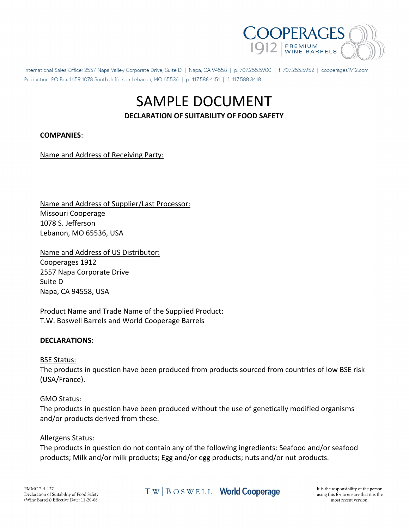

International Sales Office: 2557 Napa Valley Corporate Drive, Suite D | Napa, CA 94558 | p. 707.255.5900 | f. 707.255.5952 | cooperages1912.com Production: PO Box 1659 1078 South Jefferson Lebanon, MO 65536 | p. 417,588.4151 | f. 417,588.3418

# SAMPLE DOCUMENT **DECLARATION OF SUITABILITY OF FOOD SAFETY**

# **COMPANIES**:

Name and Address of Receiving Party:

Name and Address of Supplier/Last Processor: Missouri Cooperage 1078 S. Jefferson Lebanon, MO 65536, USA

Name and Address of US Distributor: Cooperages 1912 2557 Napa Corporate Drive Suite D Napa, CA 94558, USA

Product Name and Trade Name of the Supplied Product: T.W. Boswell Barrels and World Cooperage Barrels

# **DECLARATIONS:**

#### BSE Status:

The products in question have been produced from products sourced from countries of low BSE risk (USA/France).

#### GMO Status:

The products in question have been produced without the use of genetically modified organisms and/or products derived from these.

#### Allergens Status:

The products in question do not contain any of the following ingredients: Seafood and/or seafood products; Milk and/or milk products; Egg and/or egg products; nuts and/or nut products.

TW | BOSWELL **World Cooperage**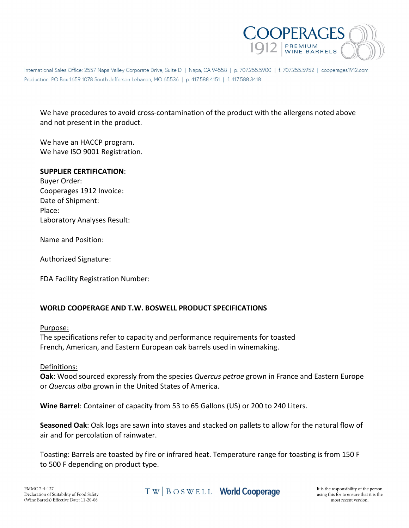

International Sales Office: 2557 Napa Valley Corporate Drive, Suite D | Napa, CA 94558 | p. 707.255.5900 | f. 707.255.5952 | cooperages1912.com Production: PO Box 1659 1078 South Jefferson Lebanon, MO 65536 | p. 417,588.4151 | f. 417,588.3418

We have procedures to avoid cross-contamination of the product with the allergens noted above and not present in the product.

We have an HACCP program. We have ISO 9001 Registration.

#### **SUPPLIER CERTIFICATION**:

Buyer Order: Cooperages 1912 Invoice: Date of Shipment: Place: Laboratory Analyses Result:

Name and Position:

Authorized Signature:

FDA Facility Registration Number:

# **WORLD COOPERAGE AND T.W. BOSWELL PRODUCT SPECIFICATIONS**

#### Purpose:

The specifications refer to capacity and performance requirements for toasted French, American, and Eastern European oak barrels used in winemaking.

#### Definitions:

**Oak**: Wood sourced expressly from the species *Quercus petrae* grown in France and Eastern Europe or *Quercus alba* grown in the United States of America.

**Wine Barrel**: Container of capacity from 53 to 65 Gallons (US) or 200 to 240 Liters.

**Seasoned Oak**: Oak logs are sawn into staves and stacked on pallets to allow for the natural flow of air and for percolation of rainwater.

Toasting: Barrels are toasted by fire or infrared heat. Temperature range for toasting is from 150 F to 500 F depending on product type.